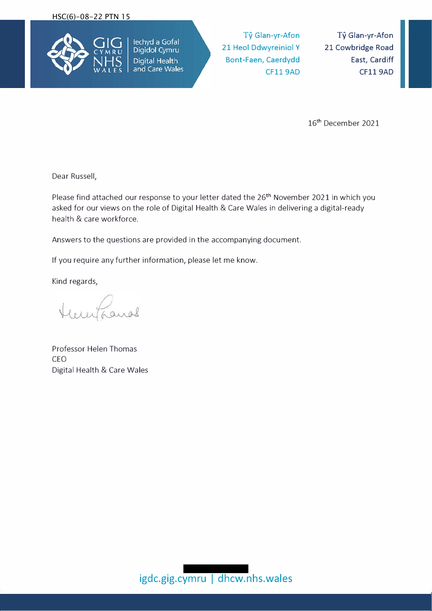

Ty **Glan-yr-Afon 21 Heol Ddwyreiniol Y Bont-Faen, Caerdydd CF119AD** 

**Ty Glan-yr-Afon 21 Cowbridge Road East, Cardiff CF119AD** 

16th December 2021

Dear Russell,

Please find attached our response to your letter dated the 26<sup>th</sup> November 2021 in which you asked for our views on the role of Digital Health & Care Wales in delivering a digital-ready health & care workforce.

Answers to the questions are provided in the accompanying document.

If you require any further information, please let me know.

Kind regards,

Professor Helen Thomas CEO Digital Health & Care Wales

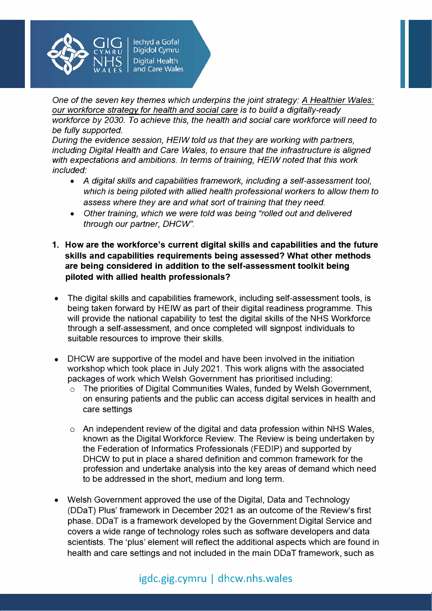

*One of the seven key themes which underpins the joint strategy: A Healthier Wales: our workforce strategy for health and social care is to build* a *digitally-ready workforce by 2030. To achieve this, the health and social care workforce will need to be fully supported.* 

*During the evidence session, HEIW told us that they are working with partners, including Digital Health and Care Wales, to ensure that the infrastructure is aligned with expectations and ambitions. In terms of training, HEIW noted that this work included:* 

- A digital skills and capabilities framework, including a self-assessment tool, *which is being piloted with allied health professional workers to allow them to* assess *where they are and what sort of training that they need.*
- *Other training, which we were told was being "rolled out and delivered through our partner, DHCW".*
- **1. How are the workforce's current digital skills and capabilities and the future skills and capabilities requirements being assessed? What other methods are being considered in addition to the self-assessment toolkit being piloted with allied health professionals?**
- The digital skills and capabilities framework, including self-assessment tools, is being taken forward by HEIW as part of their digital readiness programme. This will provide the national capability to test the digital skills of the NHS Workforce through a self-assessment, and once completed will signpost individuals to suitable resources to improve their skills.
- DHCW are supportive of the model and have been involved in the initiation workshop which took place in July 2021. This work aligns with the associated packages of work which Welsh Government has prioritised including:
	- o The priorities of Digital Communities Wales, funded by Welsh Government, on ensuring patients and the public can access digital services in health and care settings
	- o An independent review of the digital and data profession within NHS Wales, known as the Digital Workforce Review. The Review is being undertaken by the Federation of Informatics Professionals (FEDIP) and supported by DHCW to put in place a shared definition and common framework for the profession and undertake analysis into the key areas of demand which need to be addressed in the short, medium and long term.
- Welsh Government approved the use of the Digital, Data and Technology (DDaT) Plus' framework in December 2021 as an outcome of the Review's first phase. DDaT is a framework developed by the Government Digital Service and covers a wide range of technology roles such as software developers and data scientists. The 'plus' element will reflect the additional aspects which are found in health and care settings and not included in the main DDaT framework, such as

# igdc.gig.cymru | dhcw.nhs.wales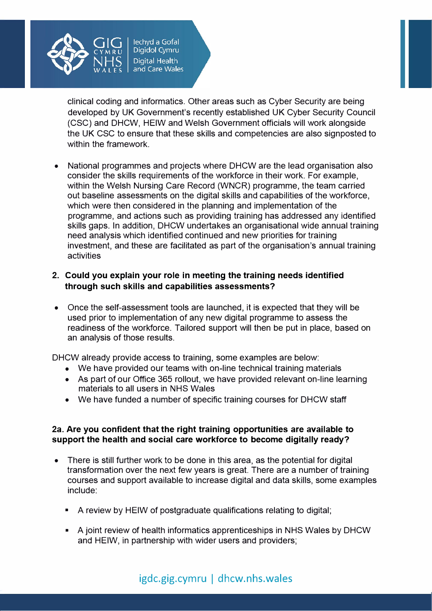

clinical coding and informatics. Other areas such as Cyber Security are being developed by UK Government's recently established UK Cyber Security Council (CSC) and DHCW, HEIW and Welsh Government officials will work alongside the UK CSC to ensure that these skills and competencies are also signposted to within the framework.

• National programmes and projects where DHCW are the lead organisation also consider the skills requirements of the workforce in their work. For example, within the Welsh Nursing Care Record (WNCR) programme, the team carried out baseline assessments on the digital skills and capabilities of the workforce, which were then considered in the planning and implementation of the programme, and actions such as providing training has addressed any identified skills gaps. In addition, DHCW undertakes an organisational wide annual training need analysis which identified continued and new priorities for training investment, and these are facilitated as part of the organisation's annual training activities

## **2. Could you explain your role in meeting the training needs identified through such skills and capabilities assessments?**

• Once the self-assessment tools are launched, it is expected that they will be used prior to implementation of any new digital programme to assess the readiness of the workforce. Tailored support will then be put in place, based on an analysis of those results.

DHCW already provide access to training, some examples are below:

- We have provided our teams with on-line technical training materials
- As part of our Office 365 rollout, we have provided relevant on-line learning materials to all users in NHS Wales
- We have funded a number of specific training courses for DHCW staff

### **2a. Are you confident that the right training opportunities are available to support the health and social care workforce to become digitally ready?**

- There is still further work to be done in this area, as the potential for digital transformation over the next few years is great. There are a number of training courses and support available to increase digital and data skills, some examples include:
	- A review by HEIW of postgraduate qualifications relating to digital;
	- A joint review of health informatics apprenticeships in NHS Wales by DHCW and HEIW, in partnership with wider users and providers;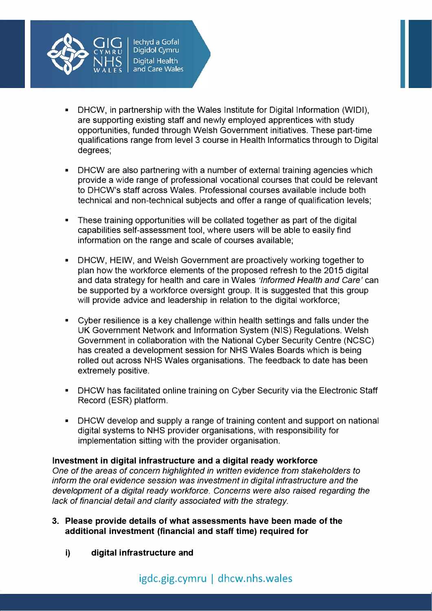

- DHCW, in partnership with the Wales Institute for Digital Information (WIDI), are supporting existing staff and newly employed apprentices with study opportunities, funded through Welsh Government initiatives. These part-time qualifications range from level 3 course in Health Informatics through to Digital degrees;
- DHCW are also partnering with a number of external training agencies which provide a wide range of professional vocational courses that could be relevant to DHCW's staff across Wales. Professional courses available include both technical and non-technical subjects and offer a range of qualification levels;
- These training opportunities will be collated together as part of the digital capabilities self-assessment tool, where users will be able to easily find information on the range and scale of courses available;
- DHCW, HEIW, and Welsh Government are proactively working together to plan how the workforce elements of the proposed refresh to the 2015 digital and data strategy for health and care in Wales *'Informed Health and Care'* can be supported by a workforce oversight group. It is suggested that this group will provide advice and leadership in relation to the digital workforce;
- Cyber resilience is a key challenge within health settings and falls under the UK Government Network and Information System (NIS) Regulations. Welsh Government in collaboration with the National Cyber Security Centre (NCSC) has created a development session for NHS Wales Boards which is being rolled out across NHS Wales organisations. The feedback to date has been extremely positive.
- DHCW has facilitated online training on Cyber Security via the Electronic Staff Record (ESR) platform.
- DHCW develop and supply a range of training content and support on national digital systems to NHS provider organisations, with responsibility for implementation sitting with the provider organisation.

## **Investment in digital infrastructure and a digital ready workforce**

*One of the areas of concern highlighted in written evidence from stakeholders to inform the oral evidence session was investment in digital infrastructure and the development of* a *digital ready workforce. Concerns were also raised regarding the lack of financial detail and clarity associated with the strategy.* 

- **3. Please provide details of what assessments have been made of the additional investment (financial and staff time) required for**
	- **i) digital infrastructure and**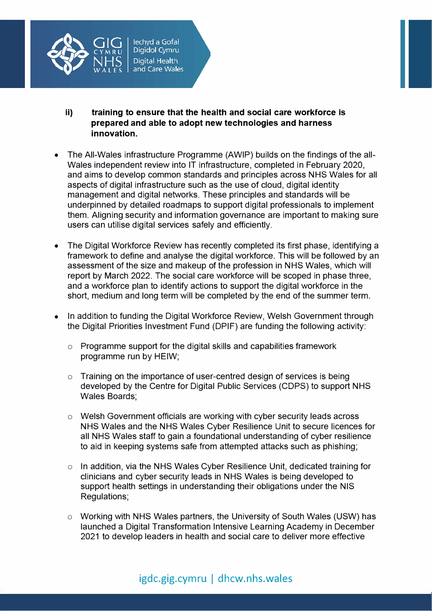

- **ii) training to ensure that the health and social care workforce is prepared and able to adopt new technologies and harness innovation.**
- The All-Wales infrastructure Programme (AWIP) builds on the findings of the all-Wales independent review into IT infrastructure, completed in February 2020, and aims to develop common standards and principles across NHS Wales for all aspects of digital infrastructure such as the use of cloud, digital identity management and digital networks. These principles and standards will be underpinned by detailed roadmaps to support digital professionals to implement them. Aligning security and information governance are important to making sure users can utilise digital services safely and efficiently.
- The Digital Workforce Review has recently completed its first phase, identifying a framework to define and analyse the digital workforce. This will be followed by an assessment of the size and makeup of the profession in NHS Wales, which will report by March 2022. The social care workforce will be scoped in phase three, and a workforce plan to identify actions to support the digital workforce in the short, medium and long term will be completed by the end of the summer term.
- In addition to funding the Digital Workforce Review, Welsh Government through the Digital Priorities Investment Fund (DPIF) are funding the following activity:
	- o Programme support for the digital skills and capabilities framework programme run by HEIW;
	- o Training on the importance of user-centred design of services is being developed by the Centre for Digital Public Services (COPS) to support NHS Wales Boards;
	- o Welsh Government officials are working with cyber security leads across NHS Wales and the NHS Wales Cyber Resilience Unit to secure licences for all NHS Wales staff to gain a foundational understanding of cyber resilience to aid in keeping systems safe from attempted attacks such as phishing;
	- o In addition, via the NHS Wales Cyber Resilience Unit, dedicated training for clinicians and cyber security leads in NHS Wales is being developed to support health settings in understanding their obligations under the NIS Regulations;
	- o Working with NHS Wales partners, the University of South Wales (USW) has launched a Digital Transformation Intensive Learning Academy in December 2021 to develop leaders in health and social care to deliver more effective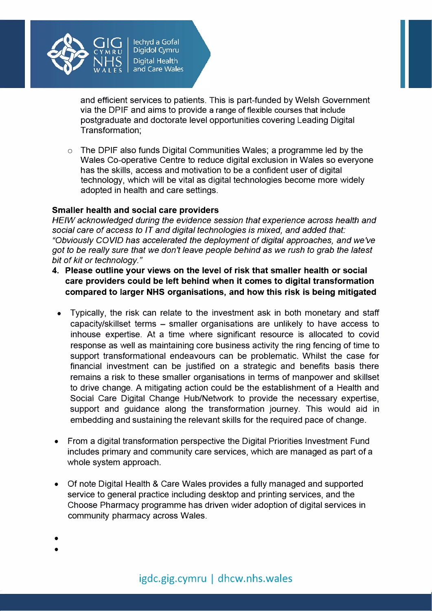

and efficient services to patients. This is part-funded by Welsh Government via the DPIF and aims to provide a range of flexible courses that include postgraduate and doctorate level opportunities covering Leading Digital Transformation;

 $\circ$  The DPIF also funds Digital Communities Wales; a programme led by the Wales Co-operative Centre to reduce digital exclusion in Wales so everyone has the skills, access and motivation to be a confident user of digital technology, which will be vital as digital technologies become more widely adopted in health and care settings.

#### **Smaller health and social care providers**

*HEIW acknowledged during the evidence session that experience across health and social care of access to IT and digital technologies is mixed, and added that: "Obviously COVID has accelerated the deployment of digital approaches, and we've got to be really sure that we don't leave people behind* as *we rush to grab the latest bit of kit or technology."* 

- **4. Please outline your views on the level of risk that smaller health or social care providers could be left behind when it comes to digital transformation compared to larger NHS organisations, and how this risk is being mitigated**
	- Typically, the risk can relate to the investment ask in both monetary and staff capacity/skillset terms - smaller organisations are unlikely to have access to inhouse expertise. At a time where significant resource is allocated to covid response as well as maintaining core business activity the ring fencing of time to support transformational endeavours can be problematic. Whilst the case for financial investment can be justified on a strategic and benefits basis there remains a risk to these smaller organisations in terms of manpower and skillset to drive change. A mitigating action could be the establishment of a Health and Social Care Digital Change Hub/Network to provide the necessary expertise, support and guidance along the transformation journey. This would aid in embedding and sustaining the relevant skills for the required pace of change.
- From a digital transformation perspective the Digital Priorities Investment Fund includes primary and community care services, which are managed as part of a whole system approach.
- Of note Digital Health & Care Wales provides a fully managed and supported service to general practice including desktop and printing services, and the Choose Pharmacy programme has driven wider adoption of digital services in community pharmacy across Wales.

•